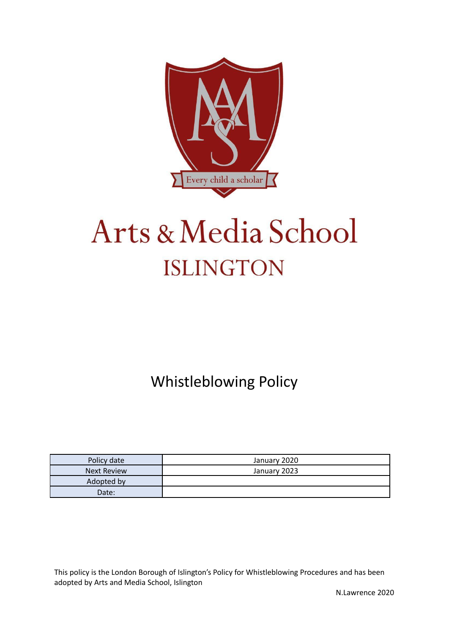

# Arts & Media School **ISLINGTON**

Whistleblowing Policy

| Policy date        | January 2020 |
|--------------------|--------------|
| <b>Next Review</b> | January 2023 |
| Adopted by         |              |
| Date:              |              |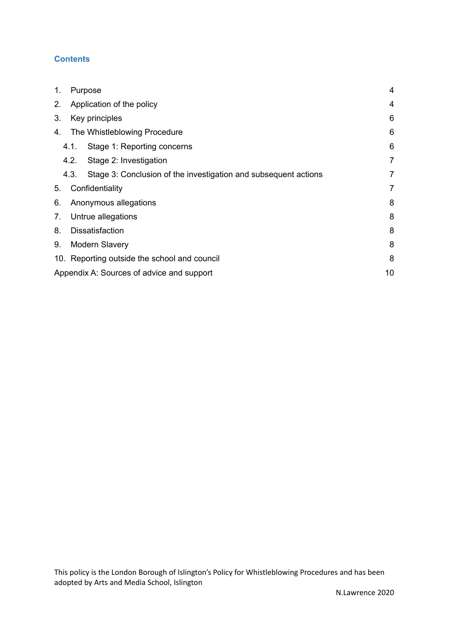# **Contents**

| 1. | Purpose                                      |                                                                 | $\overline{4}$ |
|----|----------------------------------------------|-----------------------------------------------------------------|----------------|
| 2. | Application of the policy                    |                                                                 | 4              |
| 3. | Key principles                               |                                                                 | 6              |
| 4. |                                              | The Whistleblowing Procedure                                    | 6              |
|    | 4.1.                                         | Stage 1: Reporting concerns                                     | 6              |
|    | 4.2.                                         | Stage 2: Investigation                                          | 7              |
|    | 4.3.                                         | Stage 3: Conclusion of the investigation and subsequent actions | $\overline{7}$ |
| 5. |                                              | Confidentiality                                                 | 7              |
| 6. | Anonymous allegations                        |                                                                 | 8              |
| 7. | Untrue allegations                           |                                                                 | 8              |
| 8. | <b>Dissatisfaction</b>                       |                                                                 | 8              |
| 9. | <b>Modern Slavery</b>                        |                                                                 | 8              |
|    | 10. Reporting outside the school and council |                                                                 | 8              |
|    |                                              | Appendix A: Sources of advice and support                       | 10             |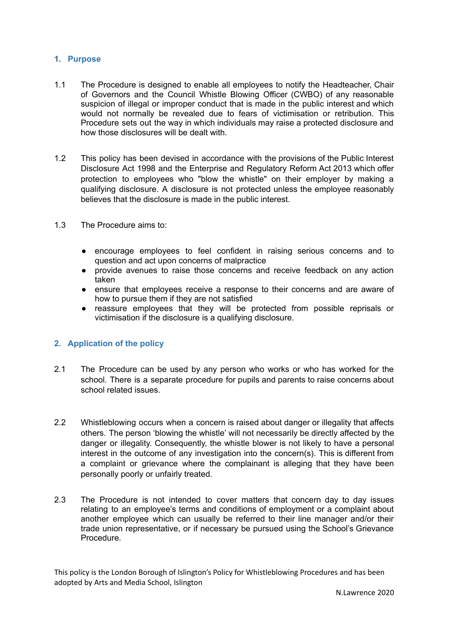#### <span id="page-2-0"></span>**1. Purpose**

- 1.1 The Procedure is designed to enable all employees to notify the Headteacher, Chair of Governors and the Council Whistle Blowing Officer (CWBO) of any reasonable suspicion of illegal or improper conduct that is made in the public interest and which would not normally be revealed due to fears of victimisation or retribution. This Procedure sets out the way in which individuals may raise a protected disclosure and how those disclosures will be dealt with.
- 1.2 This policy has been devised in accordance with the provisions of the Public Interest Disclosure Act 1998 and the Enterprise and Regulatory Reform Act 2013 which offer protection to employees who "blow the whistle" on their employer by making a qualifying disclosure. A disclosure is not protected unless the employee reasonably believes that the disclosure is made in the public interest.
- 1.3 The Procedure aims to:
	- encourage employees to feel confident in raising serious concerns and to question and act upon concerns of malpractice
	- provide avenues to raise those concerns and receive feedback on any action taken
	- ensure that employees receive a response to their concerns and are aware of how to pursue them if they are not satisfied
	- reassure employees that they will be protected from possible reprisals or victimisation if the disclosure is a qualifying disclosure.

### <span id="page-2-1"></span>**2. Application of the policy**

- 2.1 The Procedure can be used by any person who works or who has worked for the school. There is a separate procedure for pupils and parents to raise concerns about school related issues.
- 2.2 Whistleblowing occurs when a concern is raised about danger or illegality that affects others. The person 'blowing the whistle' will not necessarily be directly affected by the danger or illegality. Consequently, the whistle blower is not likely to have a personal interest in the outcome of any investigation into the concern(s). This is different from a complaint or grievance where the complainant is alleging that they have been personally poorly or unfairly treated.
- 2.3 The Procedure is not intended to cover matters that concern day to day issues relating to an employee's terms and conditions of employment or a complaint about another employee which can usually be referred to their line manager and/or their trade union representative, or if necessary be pursued using the School's Grievance Procedure.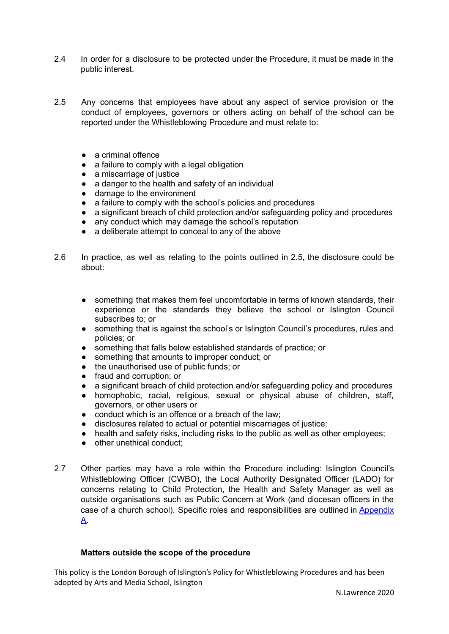- 2.4 In order for a disclosure to be protected under the Procedure, it must be made in the public interest.
- 2.5 Any concerns that employees have about any aspect of service provision or the conduct of employees, governors or others acting on behalf of the school can be reported under the Whistleblowing Procedure and must relate to:
	- a criminal offence
	- a failure to comply with a legal obligation
	- a miscarriage of justice
	- a danger to the health and safety of an individual
	- damage to the environment
	- a failure to comply with the school's policies and procedures
	- a significant breach of child protection and/or safeguarding policy and procedures
	- any conduct which may damage the school's reputation
	- a deliberate attempt to conceal to any of the above
- 2.6 In practice, as well as relating to the points outlined in 2.5, the disclosure could be about:
	- something that makes them feel uncomfortable in terms of known standards, their experience or the standards they believe the school or Islington Council subscribes to; or
	- something that is against the school's or Islington Council's procedures, rules and policies; or
	- something that falls below established standards of practice; or
	- something that amounts to improper conduct; or
	- the unauthorised use of public funds; or
	- fraud and corruption; or
	- a significant breach of child protection and/or safeguarding policy and procedures
	- homophobic, racial, religious, sexual or physical abuse of children, staff, governors, or other users or
	- conduct which is an offence or a breach of the law;
	- disclosures related to actual or potential miscarriages of justice;
	- health and safety risks, including risks to the public as well as other employees;
	- other unethical conduct;
- 2.7 Other parties may have a role within the Procedure including: Islington Council's Whistleblowing Officer (CWBO), the Local Authority Designated Officer (LADO) for concerns relating to Child Protection, the Health and Safety Manager as well as outside organisations such as Public Concern at Work (and diocesan officers in the case of a church school). Specific roles and responsibilities are outlined in [Appendix](#page-10-0) [A.](#page-10-0)

### **Matters outside the scope of the procedure**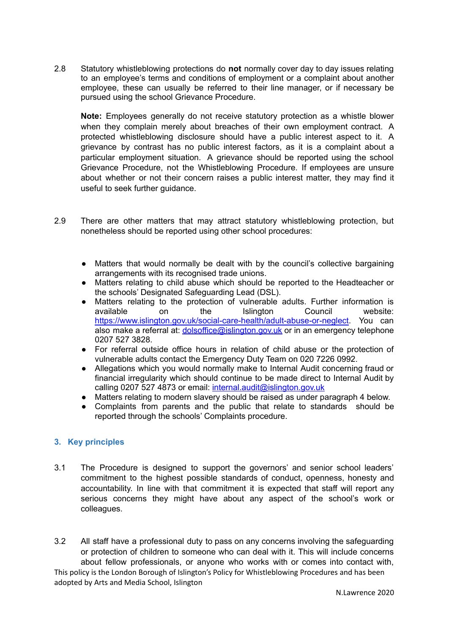2.8 Statutory whistleblowing protections do **not** normally cover day to day issues relating to an employee's terms and conditions of employment or a complaint about another employee, these can usually be referred to their line manager, or if necessary be pursued using the school Grievance Procedure.

**Note:** Employees generally do not receive statutory protection as a whistle blower when they complain merely about breaches of their own employment contract. A protected whistleblowing disclosure should have a public interest aspect to it. A grievance by contrast has no public interest factors, as it is a complaint about a particular employment situation. A grievance should be reported using the school Grievance Procedure, not the Whistleblowing Procedure. If employees are unsure about whether or not their concern raises a public interest matter, they may find it useful to seek further guidance.

- 2.9 There are other matters that may attract statutory whistleblowing protection, but nonetheless should be reported using other school procedures:
	- Matters that would normally be dealt with by the council's collective bargaining arrangements with its recognised trade unions.
	- Matters relating to child abuse which should be reported to the Headteacher or the schools' Designated Safeguarding Lead (DSL).
	- Matters relating to the protection of vulnerable adults. Further information is available on the Islington Council website: <https://www.islington.gov.uk/social-care-health/adult-abuse-or-neglect>. You can also make a referral at: *[dolsoffice@islington.gov.uk](mailto:dolsoffice@islington.gov.uk)* or in an emergency telephone 0207 527 3828.
	- For referral outside office hours in relation of child abuse or the protection of vulnerable adults contact the Emergency Duty Team on 020 7226 0992.
	- Allegations which you would normally make to Internal Audit concerning fraud or financial irregularity which should continue to be made direct to Internal Audit by calling 0207 527 4873 or email: [internal.audit@islington.gov.uk](mailto:internal.audit@islington.gov.uk)
	- Matters relating to modern slavery should be raised as under paragraph 4 below.
	- Complaints from parents and the public that relate to standards should be reported through the schools' Complaints procedure.

### <span id="page-4-0"></span>**3. Key principles**

- 3.1 The Procedure is designed to support the governors' and senior school leaders' commitment to the highest possible standards of conduct, openness, honesty and accountability. In line with that commitment it is expected that staff will report any serious concerns they might have about any aspect of the school's work or colleagues.
- 3.2 All staff have a professional duty to pass on any concerns involving the safeguarding or protection of children to someone who can deal with it. This will include concerns about fellow professionals, or anyone who works with or comes into contact with,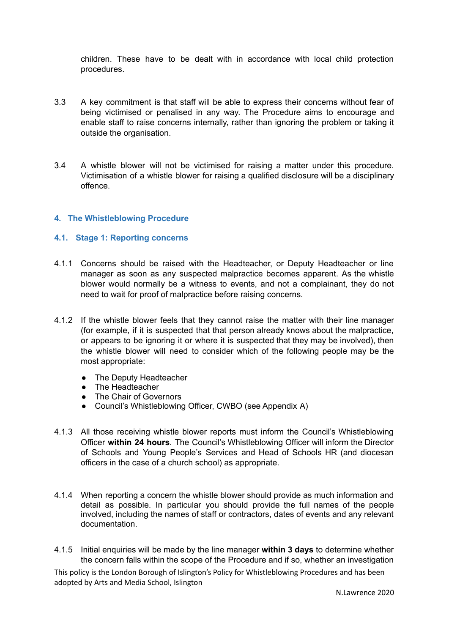children. These have to be dealt with in accordance with local child protection procedures.

- 3.3 A key commitment is that staff will be able to express their concerns without fear of being victimised or penalised in any way. The Procedure aims to encourage and enable staff to raise concerns internally, rather than ignoring the problem or taking it outside the organisation.
- 3.4 A whistle blower will not be victimised for raising a matter under this procedure. Victimisation of a whistle blower for raising a qualified disclosure will be a disciplinary offence.

### <span id="page-5-0"></span>**4. The Whistleblowing Procedure**

#### <span id="page-5-1"></span>**4.1. Stage 1: Reporting concerns**

- 4.1.1 Concerns should be raised with the Headteacher, or Deputy Headteacher or line manager as soon as any suspected malpractice becomes apparent. As the whistle blower would normally be a witness to events, and not a complainant, they do not need to wait for proof of malpractice before raising concerns.
- 4.1.2 If the whistle blower feels that they cannot raise the matter with their line manager (for example, if it is suspected that that person already knows about the malpractice, or appears to be ignoring it or where it is suspected that they may be involved), then the whistle blower will need to consider which of the following people may be the most appropriate:
	- The Deputy Headteacher
	- The Headteacher
	- The Chair of Governors
	- Council's Whistleblowing Officer, CWBO (see Appendix A)
- 4.1.3 All those receiving whistle blower reports must inform the Council's Whistleblowing Officer **within 24 hours**. The Council's Whistleblowing Officer will inform the Director of Schools and Young People's Services and Head of Schools HR (and diocesan officers in the case of a church school) as appropriate.
- 4.1.4 When reporting a concern the whistle blower should provide as much information and detail as possible. In particular you should provide the full names of the people involved, including the names of staff or contractors, dates of events and any relevant documentation.
- 4.1.5 Initial enquiries will be made by the line manager **within 3 days** to determine whether the concern falls within the scope of the Procedure and if so, whether an investigation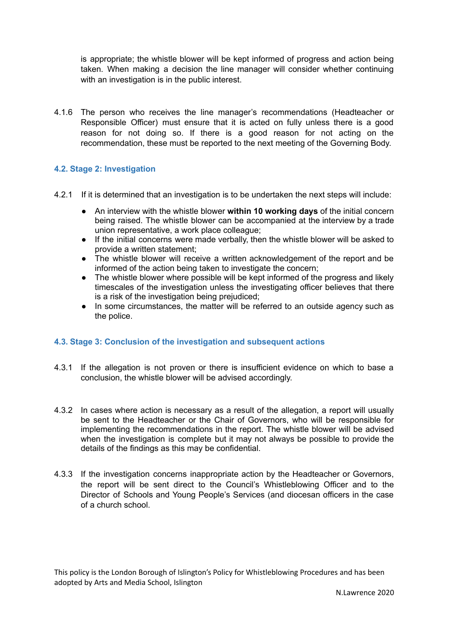is appropriate; the whistle blower will be kept informed of progress and action being taken. When making a decision the line manager will consider whether continuing with an investigation is in the public interest.

4.1.6 The person who receives the line manager's recommendations (Headteacher or Responsible Officer) must ensure that it is acted on fully unless there is a good reason for not doing so. If there is a good reason for not acting on the recommendation, these must be reported to the next meeting of the Governing Body.

# <span id="page-6-0"></span>**4.2. Stage 2: Investigation**

- 4.2.1 If it is determined that an investigation is to be undertaken the next steps will include:
	- An interview with the whistle blower **within 10 working days** of the initial concern being raised. The whistle blower can be accompanied at the interview by a trade union representative, a work place colleague;
	- If the initial concerns were made verbally, then the whistle blower will be asked to provide a written statement;
	- The whistle blower will receive a written acknowledgement of the report and be informed of the action being taken to investigate the concern;
	- The whistle blower where possible will be kept informed of the progress and likely timescales of the investigation unless the investigating officer believes that there is a risk of the investigation being prejudiced;
	- In some circumstances, the matter will be referred to an outside agency such as the police.

## <span id="page-6-1"></span>**4.3. Stage 3: Conclusion of the investigation and subsequent actions**

- 4.3.1 If the allegation is not proven or there is insufficient evidence on which to base a conclusion, the whistle blower will be advised accordingly.
- 4.3.2 In cases where action is necessary as a result of the allegation, a report will usually be sent to the Headteacher or the Chair of Governors, who will be responsible for implementing the recommendations in the report. The whistle blower will be advised when the investigation is complete but it may not always be possible to provide the details of the findings as this may be confidential.
- 4.3.3 If the investigation concerns inappropriate action by the Headteacher or Governors, the report will be sent direct to the Council's Whistleblowing Officer and to the Director of Schools and Young People's Services (and diocesan officers in the case of a church school.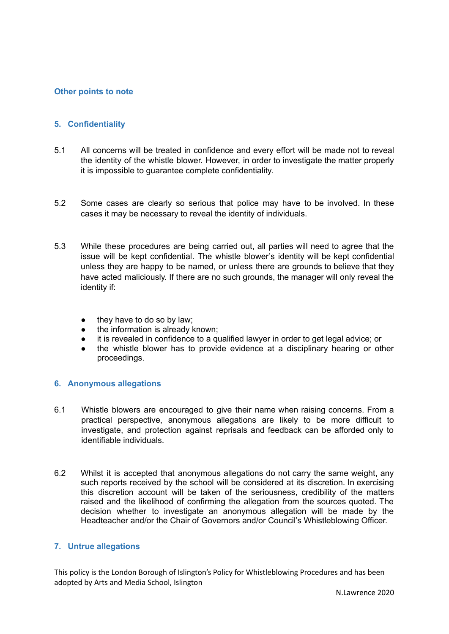## **Other points to note**

### <span id="page-7-0"></span>**5. Confidentiality**

- 5.1 All concerns will be treated in confidence and every effort will be made not to reveal the identity of the whistle blower. However, in order to investigate the matter properly it is impossible to guarantee complete confidentiality.
- 5.2 Some cases are clearly so serious that police may have to be involved. In these cases it may be necessary to reveal the identity of individuals.
- 5.3 While these procedures are being carried out, all parties will need to agree that the issue will be kept confidential. The whistle blower's identity will be kept confidential unless they are happy to be named, or unless there are grounds to believe that they have acted maliciously. If there are no such grounds, the manager will only reveal the identity if:
	- they have to do so by law;
	- the information is already known;
	- it is revealed in confidence to a qualified lawyer in order to get legal advice; or
	- the whistle blower has to provide evidence at a disciplinary hearing or other proceedings.

#### <span id="page-7-1"></span>**6. Anonymous allegations**

- 6.1 Whistle blowers are encouraged to give their name when raising concerns. From a practical perspective, anonymous allegations are likely to be more difficult to investigate, and protection against reprisals and feedback can be afforded only to identifiable individuals.
- 6.2 Whilst it is accepted that anonymous allegations do not carry the same weight, any such reports received by the school will be considered at its discretion. In exercising this discretion account will be taken of the seriousness, credibility of the matters raised and the likelihood of confirming the allegation from the sources quoted. The decision whether to investigate an anonymous allegation will be made by the Headteacher and/or the Chair of Governors and/or Council's Whistleblowing Officer.

#### <span id="page-7-2"></span>**7. Untrue allegations**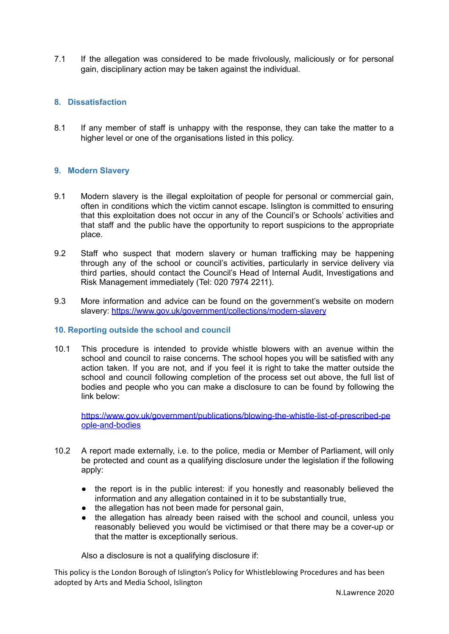7.1 If the allegation was considered to be made frivolously, maliciously or for personal gain, disciplinary action may be taken against the individual.

# <span id="page-8-0"></span>**8. Dissatisfaction**

8.1 If any member of staff is unhappy with the response, they can take the matter to a higher level or one of the organisations listed in this policy.

# <span id="page-8-1"></span>**9. Modern Slavery**

- 9.1 Modern slavery is the illegal exploitation of people for personal or commercial gain, often in conditions which the victim cannot escape. Islington is committed to ensuring that this exploitation does not occur in any of the Council's or Schools' activities and that staff and the public have the opportunity to report suspicions to the appropriate place.
- 9.2 Staff who suspect that modern slavery or human trafficking may be happening through any of the school or council's activities, particularly in service delivery via third parties, should contact the Council's Head of Internal Audit, Investigations and Risk Management immediately (Tel: 020 7974 2211).
- 9.3 More information and advice can be found on the government's website on modern slavery: <https://www.gov.uk/government/collections/modern-slavery>

### <span id="page-8-2"></span>**10. Reporting outside the school and council**

10.1 This procedure is intended to provide whistle blowers with an avenue within the school and council to raise concerns. The school hopes you will be satisfied with any action taken. If you are not, and if you feel it is right to take the matter outside the school and council following completion of the process set out above, the full list of bodies and people who you can make a disclosure to can be found by following the link below:

[https://www.gov.uk/government/publications/blowing-the-whistle-list-of-prescribed-pe](https://www.gov.uk/government/publications/blowing-the-whistle-list-of-prescribed-people-and-bodies) [ople-and-bodies](https://www.gov.uk/government/publications/blowing-the-whistle-list-of-prescribed-people-and-bodies)

- 10.2 A report made externally, i.e. to the police, media or Member of Parliament, will only be protected and count as a qualifying disclosure under the legislation if the following apply:
	- the report is in the public interest: if you honestly and reasonably believed the information and any allegation contained in it to be substantially true,
	- the allegation has not been made for personal gain,
	- the allegation has already been raised with the school and council, unless you reasonably believed you would be victimised or that there may be a cover-up or that the matter is exceptionally serious.

Also a disclosure is not a qualifying disclosure if: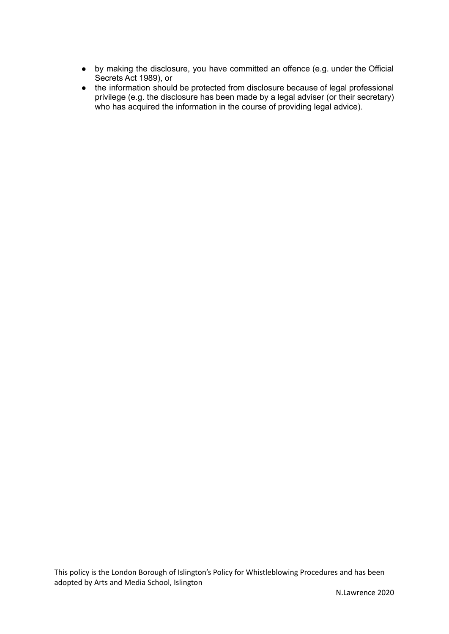- by making the disclosure, you have committed an offence (e.g. under the Official Secrets Act 1989), or
- the information should be protected from disclosure because of legal professional privilege (e.g. the disclosure has been made by a legal adviser (or their secretary) who has acquired the information in the course of providing legal advice).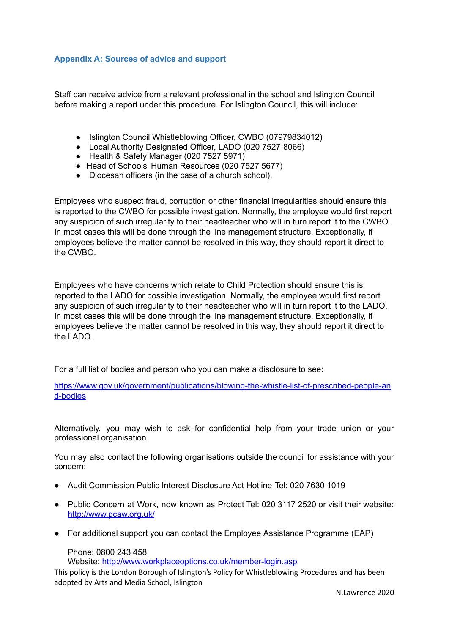## <span id="page-10-0"></span>**Appendix A: Sources of advice and support**

Staff can receive advice from a relevant professional in the school and Islington Council before making a report under this procedure. For Islington Council, this will include:

- Islington Council Whistleblowing Officer, CWBO (07979834012)
- Local Authority Designated Officer, LADO (020 7527 8066)
- Health & Safety Manager (020 7527 5971)
- Head of Schools' Human Resources (020 7527 5677)
- Diocesan officers (in the case of a church school).

Employees who suspect fraud, corruption or other financial irregularities should ensure this is reported to the CWBO for possible investigation. Normally, the employee would first report any suspicion of such irregularity to their headteacher who will in turn report it to the CWBO. In most cases this will be done through the line management structure. Exceptionally, if employees believe the matter cannot be resolved in this way, they should report it direct to the CWBO.

Employees who have concerns which relate to Child Protection should ensure this is reported to the LADO for possible investigation. Normally, the employee would first report any suspicion of such irregularity to their headteacher who will in turn report it to the LADO. In most cases this will be done through the line management structure. Exceptionally, if employees believe the matter cannot be resolved in this way, they should report it direct to the LADO.

For a full list of bodies and person who you can make a disclosure to see:

[https://www.gov.uk/government/publications/blowing-the-whistle-list-of-prescribed-people-an](https://www.gov.uk/government/publications/blowing-the-whistle-list-of-prescribed-people-and-bodies) [d-bodies](https://www.gov.uk/government/publications/blowing-the-whistle-list-of-prescribed-people-and-bodies)

Alternatively, you may wish to ask for confidential help from your trade union or your professional organisation.

You may also contact the following organisations outside the council for assistance with your concern:

- Audit Commission Public Interest Disclosure Act Hotline Tel: 020 7630 1019
- Public Concern at Work, now known as Protect Tel: 020 3117 2520 or visit their website: <http://www.pcaw.org.uk/>
- For additional support you can contact the Employee Assistance Programme (EAP)

Phone: 0800 243 458

Website: <http://www.workplaceoptions.co.uk/member-login.asp>